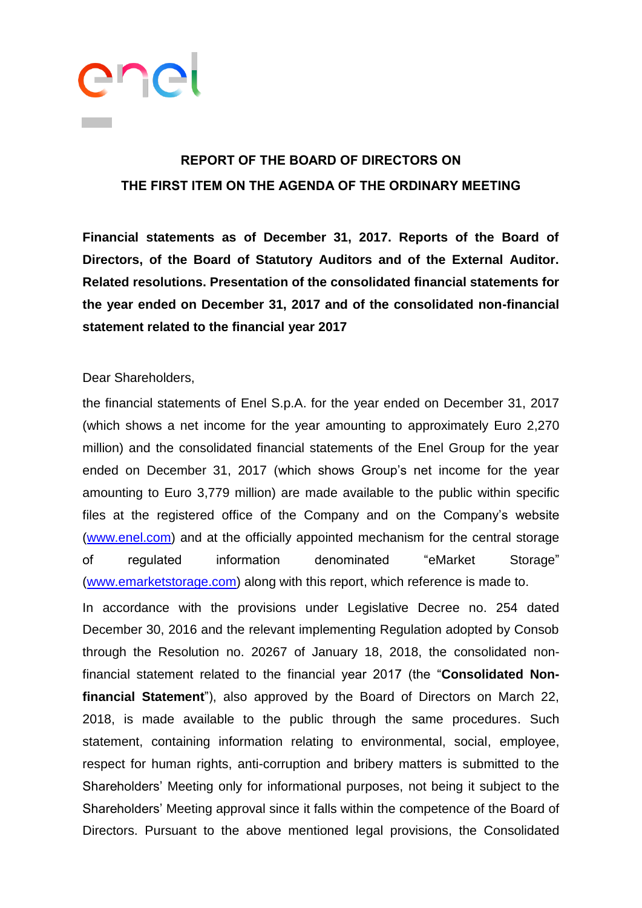

## **REPORT OF THE BOARD OF DIRECTORS ON THE FIRST ITEM ON THE AGENDA OF THE ORDINARY MEETING**

**Financial statements as of December 31, 2017. Reports of the Board of Directors, of the Board of Statutory Auditors and of the External Auditor. Related resolutions. Presentation of the consolidated financial statements for the year ended on December 31, 2017 and of the consolidated non-financial statement related to the financial year 2017**

## Dear Shareholders,

the financial statements of Enel S.p.A. for the year ended on December 31, 2017 (which shows a net income for the year amounting to approximately Euro 2,270 million) and the consolidated financial statements of the Enel Group for the year ended on December 31, 2017 (which shows Group's net income for the year amounting to Euro 3,779 million) are made available to the public within specific files at the registered office of the Company and on the Company's website [\(www.enel.com\)](http://www.enel.com/) and at the officially appointed mechanism for the central storage of regulated information denominated "eMarket Storage" [\(www.emarketstorage.com\)](http://www.emarketstorage.com/) along with this report, which reference is made to.

In accordance with the provisions under Legislative Decree no. 254 dated December 30, 2016 and the relevant implementing Regulation adopted by Consob through the Resolution no. 20267 of January 18, 2018, the consolidated nonfinancial statement related to the financial year 2017 (the "**Consolidated Nonfinancial Statement**"), also approved by the Board of Directors on March 22, 2018, is made available to the public through the same procedures. Such statement, containing information relating to environmental, social, employee, respect for human rights, anti-corruption and bribery matters is submitted to the Shareholders' Meeting only for informational purposes, not being it subject to the Shareholders' Meeting approval since it falls within the competence of the Board of Directors. Pursuant to the above mentioned legal provisions, the Consolidated